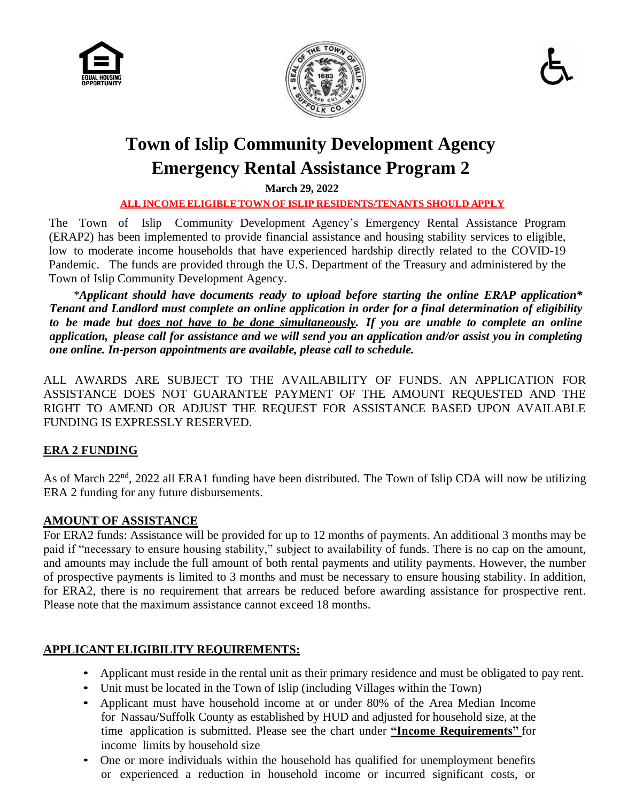





# **Town of Islip Community Development Agency Emergency Rental Assistance Program 2**

**March 29, 2022**

**ALL INCOMEELIGIBLE TOWN OF ISLIP RESIDENTS/TENANTS SHOULD APPLY**

The Town of Islip Community Development Agency's Emergency Rental Assistance Program (ERAP2) has been implemented to provide financial assistance and housing stability services to eligible, low to moderate income households that have experienced hardship directly related to the COVID-19 Pandemic. The funds are provided through the U.S. Department of the Treasury and administered by the Town of Islip Community Development Agency.

*\*Applicant should have documents ready to upload before starting the online ERAP application\* Tenant and Landlord must complete an online application in order for a final determination of eligibility to be made but does not have to be done simultaneously. If you are unable to complete an online application, please call for assistance and we will send you an application and/or assist you in completing one online. In-person appointments are available, please call to schedule.*

ALL AWARDS ARE SUBJECT TO THE AVAILABILITY OF FUNDS. AN APPLICATION FOR ASSISTANCE DOES NOT GUARANTEE PAYMENT OF THE AMOUNT REQUESTED AND THE RIGHT TO AMEND OR ADJUST THE REQUEST FOR ASSISTANCE BASED UPON AVAILABLE FUNDING IS EXPRESSLY RESERVED.

# **ERA 2 FUNDING**

As of March 22<sup>nd</sup>, 2022 all ERA1 funding have been distributed. The Town of Islip CDA will now be utilizing ERA 2 funding for any future disbursements.

### **AMOUNT OF ASSISTANCE**

For ERA2 funds: Assistance will be provided for up to 12 months of payments. An additional 3 months may be paid if "necessary to ensure housing stability," subject to availability of funds. There is no cap on the amount, and amounts may include the full amount of both rental payments and utility payments. However, the number of prospective payments is limited to 3 months and must be necessary to ensure housing stability. In addition, for ERA2, there is no requirement that arrears be reduced before awarding assistance for prospective rent. Please note that the maximum assistance cannot exceed 18 months.

# **APPLICANT ELIGIBILITY REQUIREMENTS:**

- Applicant must reside in the rental unit as their primary residence and must be obligated to pay rent.
- Unit must be located in the Town of Islip (including Villages within the Town)
- Applicant must have household income at or under 80% of the Area Median Income for Nassau/Suffolk County as established by HUD and adjusted for household size, at the time application is submitted. Please see the chart under **"Income Requirements"** for income limits by household size
- One or more individuals within the household has qualified for unemployment benefits or experienced a reduction in household income or incurred significant costs, or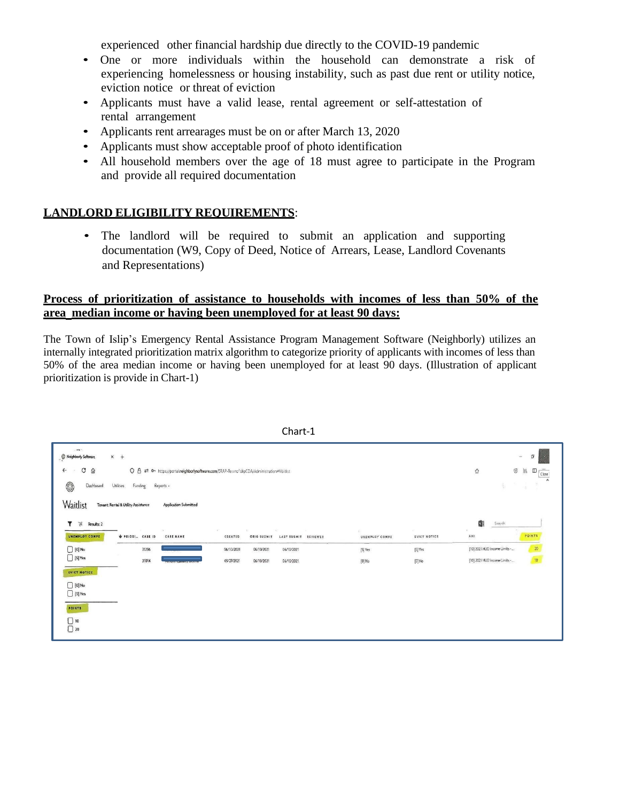experienced other financial hardship due directly to the COVID-19 pandemic

- One or more individuals within the household can demonstrate a risk of experiencing homelessness or housing instability, such as past due rent or utility notice, eviction notice or threat of eviction
- Applicants must have a valid lease, rental agreement or self-attestation of rental arrangement
- Applicants rent arrearages must be on or after March 13, 2020
- Applicants must show acceptable proof of photo identification
- All household members over the age of 18 must agree to participate in the Program and provide all required documentation

# **LANDLORD ELIGIBILITY REQUIREMENTS**:

• The landlord will be required to submit an application and supporting documentation (W9, Copy of Deed, Notice of Arrears, Lease, Landlord Covenants and Representations)

#### **Process of prioritization of assistance to households with incomes of less than 50% of the area median income or having been unemployed for at least 90 days:**

The Town of Islip's Emergency Rental Assistance Program Management Software (Neighborly) utilizes an internally integrated prioritization matrix algorithm to categorize priority of applicants with incomes of less than 50% of the area median income or having been unemployed for at least 90 days. (Illustration of applicant prioritization is provide in Chart-1)

| $-29.5$<br>Neighborly Software<br>$x +$<br>$C$ $\omega$<br>$\leftarrow$<br>O 8 = 0 https://portal.neighborlysoftware.com/ERAP-TownofislipCDA/AdministrationeWaitlist<br>$\sim$ |                          |                      |                      |              | $\Omega$                      | σ<br>$\sim$<br>$\odot$<br>III<br>Œ<br>Close |
|--------------------------------------------------------------------------------------------------------------------------------------------------------------------------------|--------------------------|----------------------|----------------------|--------------|-------------------------------|---------------------------------------------|
| $\circledcirc$<br>Dashboard<br><b>Utilities</b><br>Funding<br>Reports .                                                                                                        |                          |                      |                      |              | 訓                             | $\sim 10^{\circ}$                           |
| Waitlist<br>Tenant: Rental & Utility Assistance<br><b>Application Submitted</b>                                                                                                |                          |                      |                      |              |                               |                                             |
| Results: 2<br>$\mathcal{A}$                                                                                                                                                    | $\epsilon$<br>$\sim$     | $\sim$<br>$-100$     |                      | XX.          | 中<br>Search                   |                                             |
| UNEMPLOY COMPE<br><b>V PRIORI CASE ID</b><br><b>CASE NAME</b>                                                                                                                  | CREATED<br>ORIG SUDMIT   | LAST SUBMIT REVIEWER | r.<br>UNEMPLOY COMPE | EVICT NOTICE | AMI                           | POINTS                                      |
| $\bigcap$ [0] No<br>31296                                                                                                                                                      | 06/10/2021<br>06/10/2021 | 06/10/2021           | $[5]$ Yes            | $[5]$ Yes    | [10] 2021 HUD Income Limits - | $20\,$                                      |
| $\Box$ [5] Yes<br>31014                                                                                                                                                        | 05/27/2021<br>06/10/2021 | 06/10/2021           | $[0]$ No             | $[0]$ No     | [10] 2021 HUD Income Limits - | 10 <sub>10</sub>                            |
| EVICT NOTICE                                                                                                                                                                   |                          |                      |                      |              |                               |                                             |
| $[0]$ [0] No                                                                                                                                                                   |                          |                      |                      |              |                               |                                             |
| $\Box$ [5] Yes                                                                                                                                                                 |                          |                      |                      |              |                               |                                             |
| POINTS                                                                                                                                                                         |                          |                      |                      |              |                               |                                             |
| □ 10<br>□ 20                                                                                                                                                                   |                          |                      |                      |              |                               |                                             |
|                                                                                                                                                                                |                          |                      |                      |              |                               |                                             |

Chart-1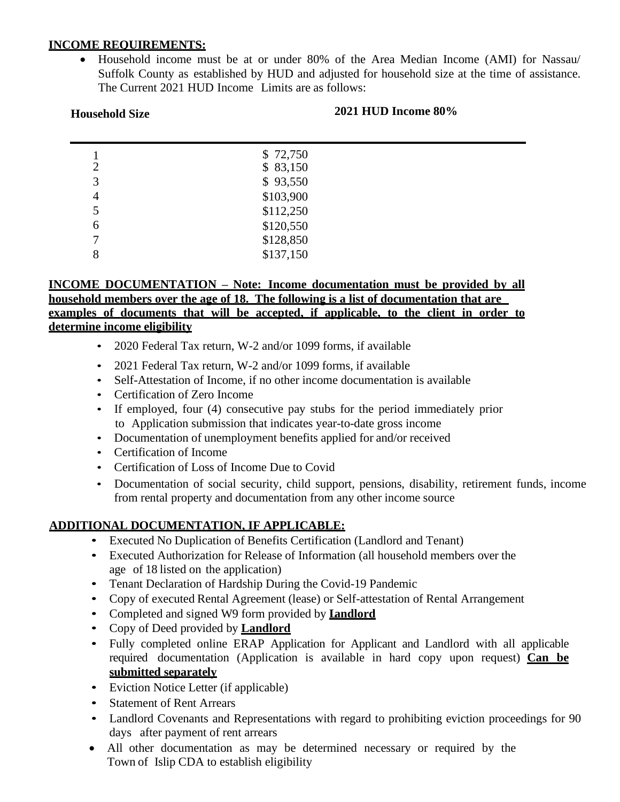#### **INCOME REQUIREMENTS:**

• Household income must be at or under 80% of the Area Median Income (AMI) for Nassau/ Suffolk County as established by HUD and adjusted for household size at the time of assistance. The Current 2021 HUD Income Limits are as follows:

#### **Household Size 2021 HUD Income 80%**

| 2 | \$72,750<br>\$83,150 |  |
|---|----------------------|--|
| 3 | \$93,550             |  |
| 4 | \$103,900            |  |
| 5 | \$112,250            |  |
| 6 | \$120,550            |  |
| 7 | \$128,850            |  |
| 8 | \$137,150            |  |

#### **INCOME DOCUMENTATION – Note: Income documentation must be provided by all household members over the age of 18. The following is a list of documentation that are examples of documents that will be accepted, if applicable, to the client in order to determine income eligibility**

- 2020 Federal Tax return, W-2 and/or 1099 forms, if available
- 2021 Federal Tax return, W-2 and/or 1099 forms, if available
- Self-Attestation of Income, if no other income documentation is available
- Certification of Zero Income
- If employed, four (4) consecutive pay stubs for the period immediately prior to Application submission that indicates year-to-date gross income
- Documentation of unemployment benefits applied for and/or received
- Certification of Income
- Certification of Loss of Income Due to Covid
- Documentation of social security, child support, pensions, disability, retirement funds, income from rental property and documentation from any other income source

### **ADDITIONAL DOCUMENTATION, IF APPLICABLE:**

- Executed No Duplication of Benefits Certification (Landlord and Tenant)
- Executed Authorization for Release of Information (all household members over the age of 18 listed on the application)
- Tenant Declaration of Hardship During the Covid-19 Pandemic
- Copy of executed Rental Agreement (lease) or Self-attestation of Rental Arrangement
- Completed and signed W9 form provided by **Landlord**
- Copy of Deed provided by **Landlord**
- Fully completed online ERAP Application for Applicant and Landlord with all applicable required documentation (Application is available in hard copy upon request) **Can be submitted separately**
- Eviction Notice Letter (if applicable)
- Statement of Rent Arrears
- Landlord Covenants and Representations with regard to prohibiting eviction proceedings for 90 days after payment of rent arrears
- All other documentation as may be determined necessary or required by the Town of Islip CDA to establish eligibility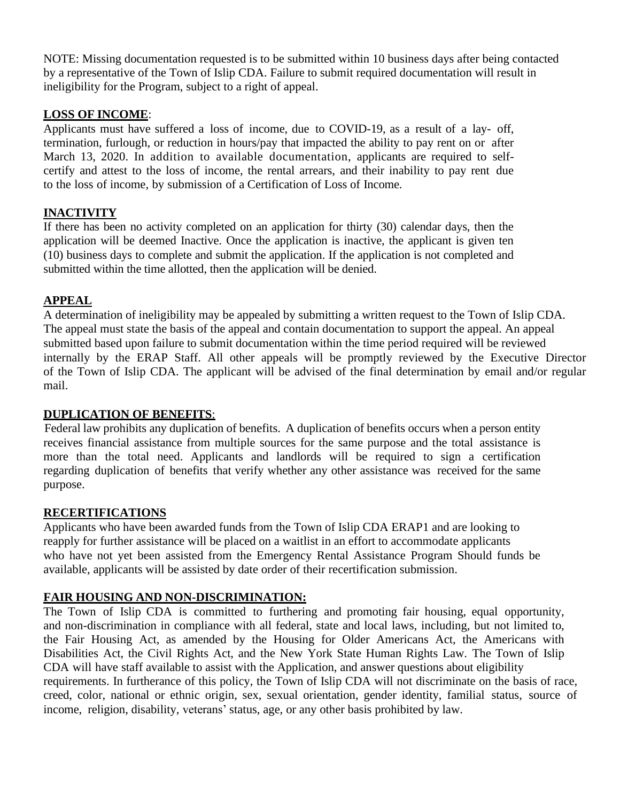NOTE: Missing documentation requested is to be submitted within 10 business days after being contacted by a representative of the Town of Islip CDA. Failure to submit required documentation will result in ineligibility for the Program, subject to a right of appeal.

# **LOSS OF INCOME**:

Applicants must have suffered a loss of income, due to COVID-19, as a result of a lay- off, termination, furlough, or reduction in hours/pay that impacted the ability to pay rent on or after March 13, 2020. In addition to available documentation, applicants are required to selfcertify and attest to the loss of income, the rental arrears, and their inability to pay rent due to the loss of income, by submission of a Certification of Loss of Income.

# **INACTIVITY**

If there has been no activity completed on an application for thirty (30) calendar days, then the application will be deemed Inactive. Once the application is inactive, the applicant is given ten (10) business days to complete and submit the application. If the application is not completed and submitted within the time allotted, then the application will be denied.

# **APPEAL**

A determination of ineligibility may be appealed by submitting a written request to the Town of Islip CDA. The appeal must state the basis of the appeal and contain documentation to support the appeal. An appeal submitted based upon failure to submit documentation within the time period required will be reviewed internally by the ERAP Staff. All other appeals will be promptly reviewed by the Executive Director of the Town of Islip CDA. The applicant will be advised of the final determination by email and/or regular mail.

# **DUPLICATION OF BENEFITS**:

Federal law prohibits any duplication of benefits. A duplication of benefits occurs when a person entity receives financial assistance from multiple sources for the same purpose and the total assistance is more than the total need. Applicants and landlords will be required to sign a certification regarding duplication of benefits that verify whether any other assistance was received for the same purpose.

### **RECERTIFICATIONS**

Applicants who have been awarded funds from the Town of Islip CDA ERAP1 and are looking to reapply for further assistance will be placed on a waitlist in an effort to accommodate applicants who have not yet been assisted from the Emergency Rental Assistance Program Should funds be available, applicants will be assisted by date order of their recertification submission.

# **FAIR HOUSING AND NON-DISCRIMINATION:**

The Town of Islip CDA is committed to furthering and promoting fair housing, equal opportunity, and non-discrimination in compliance with all federal, state and local laws, including, but not limited to, the Fair Housing Act, as amended by the Housing for Older Americans Act, the Americans with Disabilities Act, the Civil Rights Act, and the New York State Human Rights Law. The Town of Islip CDA will have staff available to assist with the Application, and answer questions about eligibility requirements. In furtherance of this policy, the Town of Islip CDA will not discriminate on the basis of race, creed, color, national or ethnic origin, sex, sexual orientation, gender identity, familial status, source of income, religion, disability, veterans' status, age, or any other basis prohibited by law.